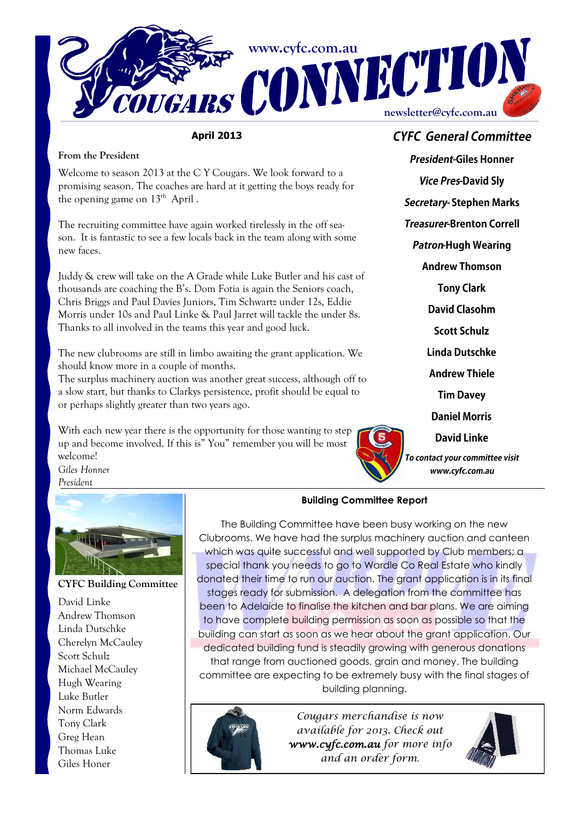

**April 2013**

### **From the President**

Welcome to season 2013 at the C Y Cougars. We look forward to a promising season. The coaches are hard at it getting the boys ready for the opening game on  $13<sup>th</sup>$  April.

The recruiting committee have again worked tirelessly in the off season. It is fantastic to see a few locals back in the team along with some new faces.

Juddy & crew will take on the A Grade while Luke Butler and his cast of thousands are coaching the B's. Dom Fotia is again the Seniors coach, Chris Briggs and Paul Davies Juniors, Tim Schwartz under 12s, Eddie Morris under 10s and Paul Linke & Paul Jarret will tackle the under 8s. Thanks to all involved in the teams this year and good luck.

The new clubrooms are still in limbo awaiting the grant application. We should know more in a couple of months.

The surplus machinery auction was another great success, although off to a slow start, but thanks to Clarkys persistence, profit should be equal to or perhaps slightly greater than two years ago.

With each new year there is the opportunity for those wanting to step up and become involved. If this is" You" remember you will be most welcome!

**CYFC General Committee** 

**President-Giles Honner Vice Pres-David Sly** Secretary-Stephen Marks **Treasurer-Brenton Correll Patron-Hugh Wearing Andrew Thomson Tony Clark David Clasohm Scott Schulz Linda Dutschke Andrew Thiele Tim Davey Daniel Morris David Linke** To contact your committee visit www.cyfc.com.au

*Giles Honner President*



**CYFC Building Committee**

David Linke Andrew Thomson Linda Dutschke Cherelyn McCauley Scott Schulz Michael McCauley Hugh Wearing Luke Butler Norm Edwards Tony Clark Greg Hean Thomas Luke Giles Honer

### **Building Committee Report**

The Building Committee have been busy working on the new Clubrooms. We have had the surplus machinery auction and canteen which was quite successful and well supported by Club members; a special thank you needs to go to Wardle Co Real Estate who kindly donated their time to run our auction. The grant application is in its final stages ready for submission. A delegation from the committee has been to Adelaide to finalise the kitchen and bar plans. We are aiming to have complete building permission as soon as possible so that the building can start as soon as we hear about the grant application. Our dedicated building fund is steadily growing with generous donations that range from auctioned goods, grain and money. The building committee are expecting to be extremely busy with the final stages of building planning.



*Cougars merchandise is now available for 2013. Check out www.cyfc.com.au for more info and an order form*.